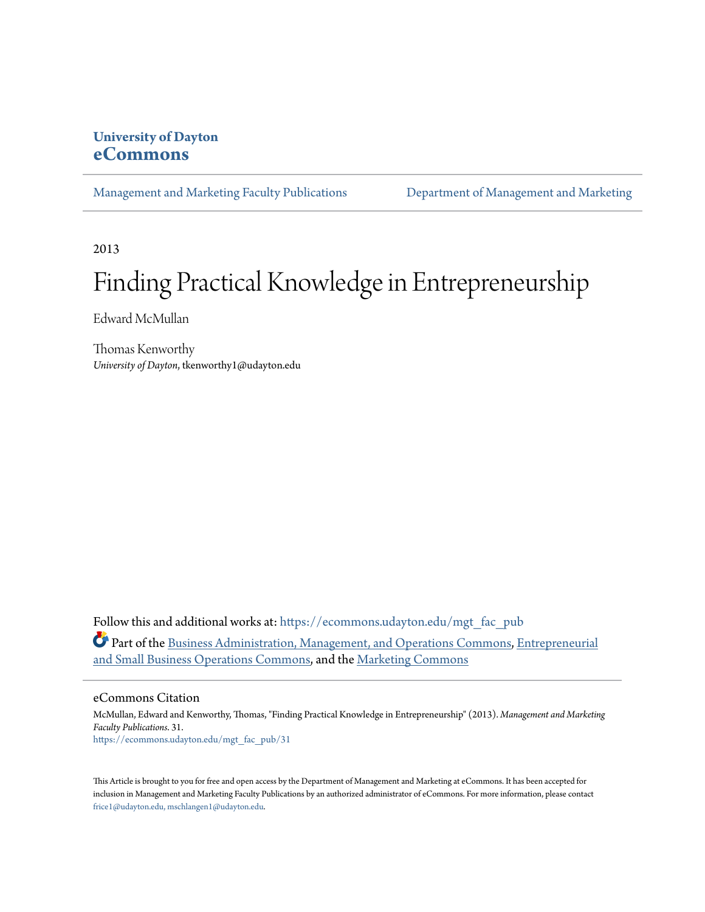### **University of Dayton [eCommons](https://ecommons.udayton.edu?utm_source=ecommons.udayton.edu%2Fmgt_fac_pub%2F31&utm_medium=PDF&utm_campaign=PDFCoverPages)**

[Management and Marketing Faculty Publications](https://ecommons.udayton.edu/mgt_fac_pub?utm_source=ecommons.udayton.edu%2Fmgt_fac_pub%2F31&utm_medium=PDF&utm_campaign=PDFCoverPages) [Department of Management and Marketing](https://ecommons.udayton.edu/mgt?utm_source=ecommons.udayton.edu%2Fmgt_fac_pub%2F31&utm_medium=PDF&utm_campaign=PDFCoverPages)

2013

# Finding Practical Knowledge in Entrepreneurship

Edward McMullan

Thomas Kenworthy *University of Dayton*, tkenworthy1@udayton.edu

Follow this and additional works at: [https://ecommons.udayton.edu/mgt\\_fac\\_pub](https://ecommons.udayton.edu/mgt_fac_pub?utm_source=ecommons.udayton.edu%2Fmgt_fac_pub%2F31&utm_medium=PDF&utm_campaign=PDFCoverPages) Part of the [Business Administration, Management, and Operations Commons](http://network.bepress.com/hgg/discipline/623?utm_source=ecommons.udayton.edu%2Fmgt_fac_pub%2F31&utm_medium=PDF&utm_campaign=PDFCoverPages), [Entrepreneurial](http://network.bepress.com/hgg/discipline/630?utm_source=ecommons.udayton.edu%2Fmgt_fac_pub%2F31&utm_medium=PDF&utm_campaign=PDFCoverPages) [and Small Business Operations Commons,](http://network.bepress.com/hgg/discipline/630?utm_source=ecommons.udayton.edu%2Fmgt_fac_pub%2F31&utm_medium=PDF&utm_campaign=PDFCoverPages) and the [Marketing Commons](http://network.bepress.com/hgg/discipline/638?utm_source=ecommons.udayton.edu%2Fmgt_fac_pub%2F31&utm_medium=PDF&utm_campaign=PDFCoverPages)

eCommons Citation

McMullan, Edward and Kenworthy, Thomas, "Finding Practical Knowledge in Entrepreneurship" (2013). *Management and Marketing Faculty Publications*. 31. [https://ecommons.udayton.edu/mgt\\_fac\\_pub/31](https://ecommons.udayton.edu/mgt_fac_pub/31?utm_source=ecommons.udayton.edu%2Fmgt_fac_pub%2F31&utm_medium=PDF&utm_campaign=PDFCoverPages)

This Article is brought to you for free and open access by the Department of Management and Marketing at eCommons. It has been accepted for inclusion in Management and Marketing Faculty Publications by an authorized administrator of eCommons. For more information, please contact [frice1@udayton.edu, mschlangen1@udayton.edu.](mailto:frice1@udayton.edu,%20mschlangen1@udayton.edu)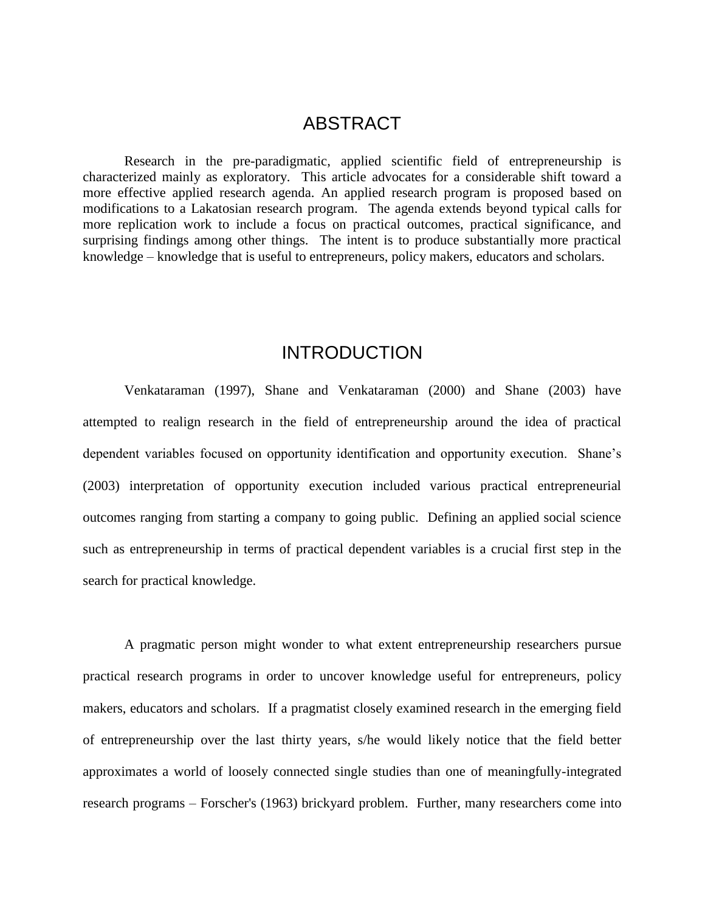### ABSTRACT

Research in the pre-paradigmatic, applied scientific field of entrepreneurship is characterized mainly as exploratory. This article advocates for a considerable shift toward a more effective applied research agenda. An applied research program is proposed based on modifications to a Lakatosian research program. The agenda extends beyond typical calls for more replication work to include a focus on practical outcomes, practical significance, and surprising findings among other things. The intent is to produce substantially more practical knowledge – knowledge that is useful to entrepreneurs, policy makers, educators and scholars.

## INTRODUCTION

Venkataraman (1997), Shane and Venkataraman (2000) and Shane (2003) have attempted to realign research in the field of entrepreneurship around the idea of practical dependent variables focused on opportunity identification and opportunity execution. Shane's (2003) interpretation of opportunity execution included various practical entrepreneurial outcomes ranging from starting a company to going public. Defining an applied social science such as entrepreneurship in terms of practical dependent variables is a crucial first step in the search for practical knowledge.

A pragmatic person might wonder to what extent entrepreneurship researchers pursue practical research programs in order to uncover knowledge useful for entrepreneurs, policy makers, educators and scholars. If a pragmatist closely examined research in the emerging field of entrepreneurship over the last thirty years, s/he would likely notice that the field better approximates a world of loosely connected single studies than one of meaningfully-integrated research programs – Forscher's (1963) brickyard problem. Further, many researchers come into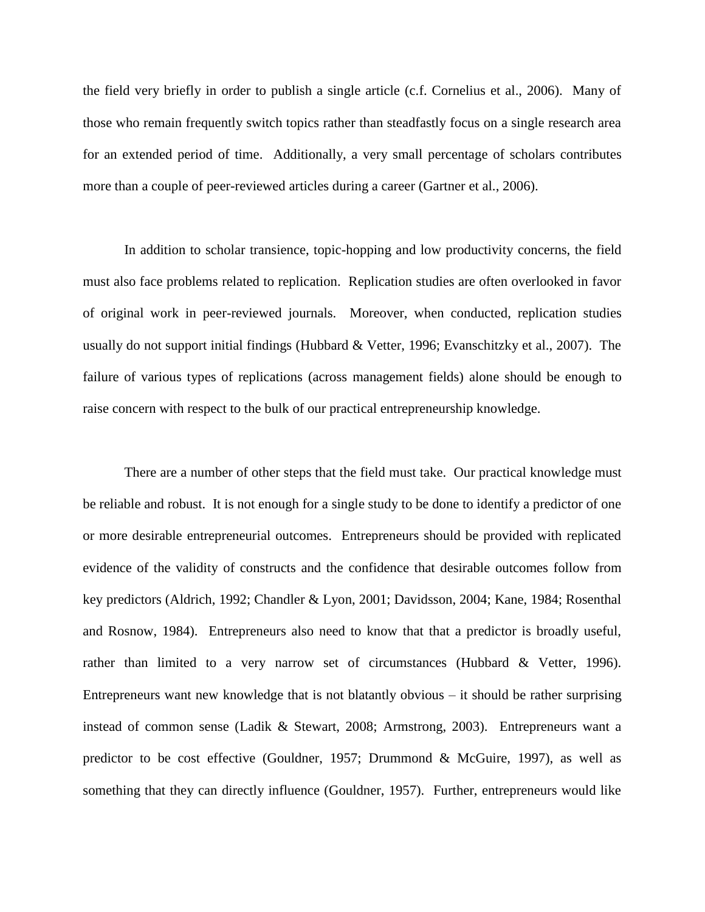the field very briefly in order to publish a single article (c.f. Cornelius et al., 2006). Many of those who remain frequently switch topics rather than steadfastly focus on a single research area for an extended period of time. Additionally, a very small percentage of scholars contributes more than a couple of peer-reviewed articles during a career (Gartner et al., 2006).

In addition to scholar transience, topic-hopping and low productivity concerns, the field must also face problems related to replication. Replication studies are often overlooked in favor of original work in peer-reviewed journals. Moreover, when conducted, replication studies usually do not support initial findings (Hubbard & Vetter, 1996; Evanschitzky et al., 2007). The failure of various types of replications (across management fields) alone should be enough to raise concern with respect to the bulk of our practical entrepreneurship knowledge.

There are a number of other steps that the field must take. Our practical knowledge must be reliable and robust. It is not enough for a single study to be done to identify a predictor of one or more desirable entrepreneurial outcomes. Entrepreneurs should be provided with replicated evidence of the validity of constructs and the confidence that desirable outcomes follow from key predictors (Aldrich, 1992; Chandler & Lyon, 2001; Davidsson, 2004; Kane, 1984; Rosenthal and Rosnow, 1984). Entrepreneurs also need to know that that a predictor is broadly useful, rather than limited to a very narrow set of circumstances (Hubbard & Vetter, 1996). Entrepreneurs want new knowledge that is not blatantly obvious – it should be rather surprising instead of common sense (Ladik & Stewart, 2008; Armstrong, 2003). Entrepreneurs want a predictor to be cost effective (Gouldner, 1957; Drummond & McGuire, 1997), as well as something that they can directly influence (Gouldner, 1957). Further, entrepreneurs would like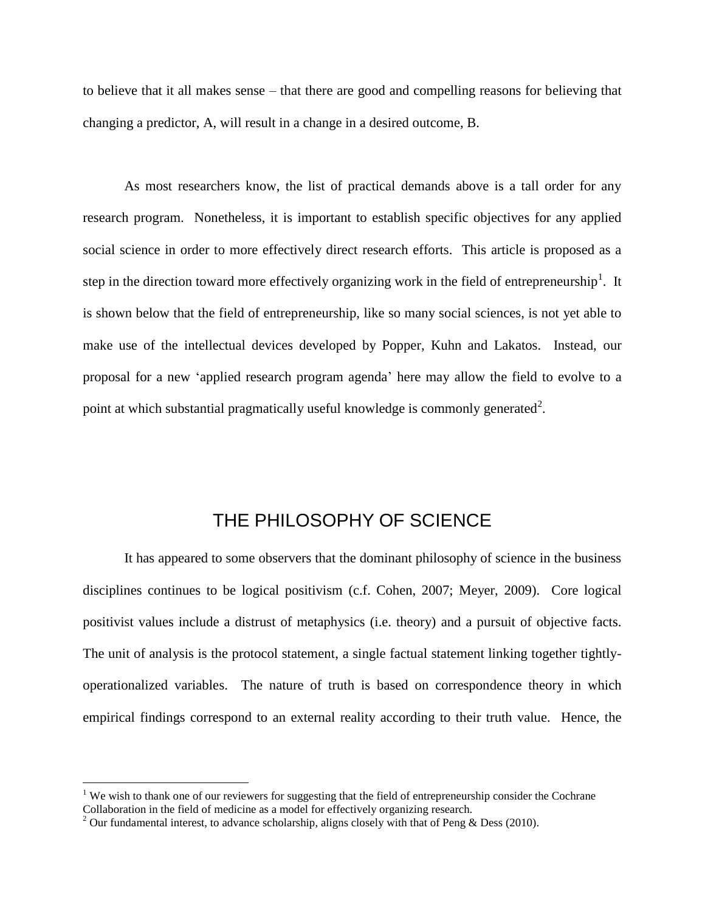to believe that it all makes sense – that there are good and compelling reasons for believing that changing a predictor, A, will result in a change in a desired outcome, B.

As most researchers know, the list of practical demands above is a tall order for any research program. Nonetheless, it is important to establish specific objectives for any applied social science in order to more effectively direct research efforts. This article is proposed as a step in the direction toward more effectively organizing work in the field of entrepreneurship<sup>1</sup>. It is shown below that the field of entrepreneurship, like so many social sciences, is not yet able to make use of the intellectual devices developed by Popper, Kuhn and Lakatos. Instead, our proposal for a new 'applied research program agenda' here may allow the field to evolve to a point at which substantial pragmatically useful knowledge is commonly generated<sup>2</sup>.

# THE PHILOSOPHY OF SCIENCE

It has appeared to some observers that the dominant philosophy of science in the business disciplines continues to be logical positivism (c.f. Cohen, 2007; Meyer, 2009). Core logical positivist values include a distrust of metaphysics (i.e. theory) and a pursuit of objective facts. The unit of analysis is the protocol statement, a single factual statement linking together tightlyoperationalized variables. The nature of truth is based on correspondence theory in which empirical findings correspond to an external reality according to their truth value. Hence, the

 $\overline{a}$ 

<sup>&</sup>lt;sup>1</sup> We wish to thank one of our reviewers for suggesting that the field of entrepreneurship consider the Cochrane Collaboration in the field of medicine as a model for effectively organizing research.

<sup>&</sup>lt;sup>2</sup> Our fundamental interest, to advance scholarship, aligns closely with that of Peng & Dess (2010).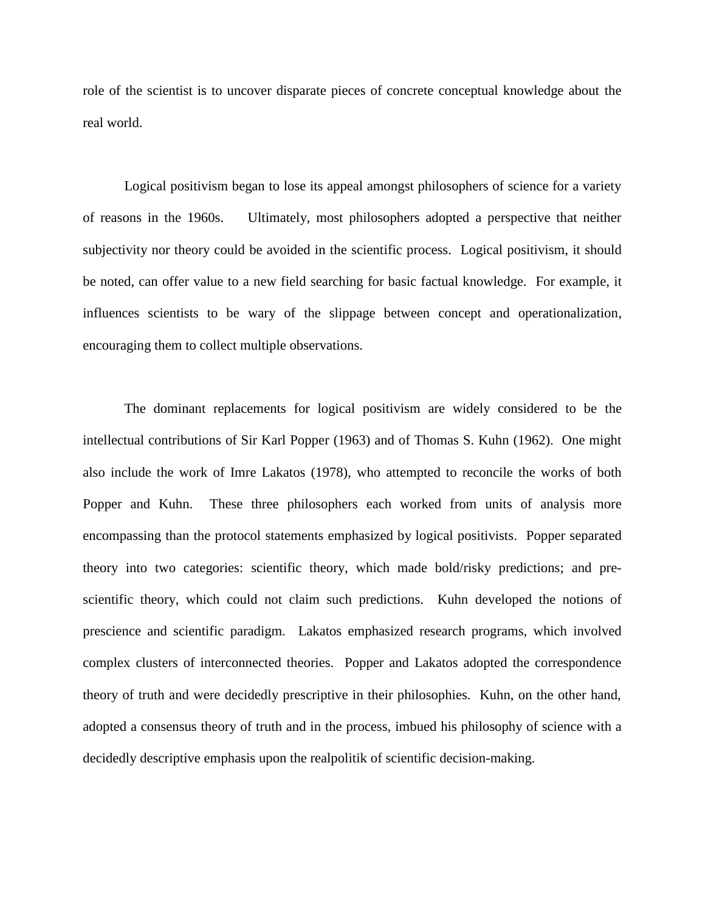role of the scientist is to uncover disparate pieces of concrete conceptual knowledge about the real world.

Logical positivism began to lose its appeal amongst philosophers of science for a variety of reasons in the 1960s. Ultimately, most philosophers adopted a perspective that neither subjectivity nor theory could be avoided in the scientific process. Logical positivism, it should be noted, can offer value to a new field searching for basic factual knowledge. For example, it influences scientists to be wary of the slippage between concept and operationalization, encouraging them to collect multiple observations.

The dominant replacements for logical positivism are widely considered to be the intellectual contributions of Sir Karl Popper (1963) and of Thomas S. Kuhn (1962). One might also include the work of Imre Lakatos (1978), who attempted to reconcile the works of both Popper and Kuhn. These three philosophers each worked from units of analysis more encompassing than the protocol statements emphasized by logical positivists. Popper separated theory into two categories: scientific theory, which made bold/risky predictions; and prescientific theory, which could not claim such predictions. Kuhn developed the notions of prescience and scientific paradigm. Lakatos emphasized research programs, which involved complex clusters of interconnected theories. Popper and Lakatos adopted the correspondence theory of truth and were decidedly prescriptive in their philosophies. Kuhn, on the other hand, adopted a consensus theory of truth and in the process, imbued his philosophy of science with a decidedly descriptive emphasis upon the realpolitik of scientific decision-making.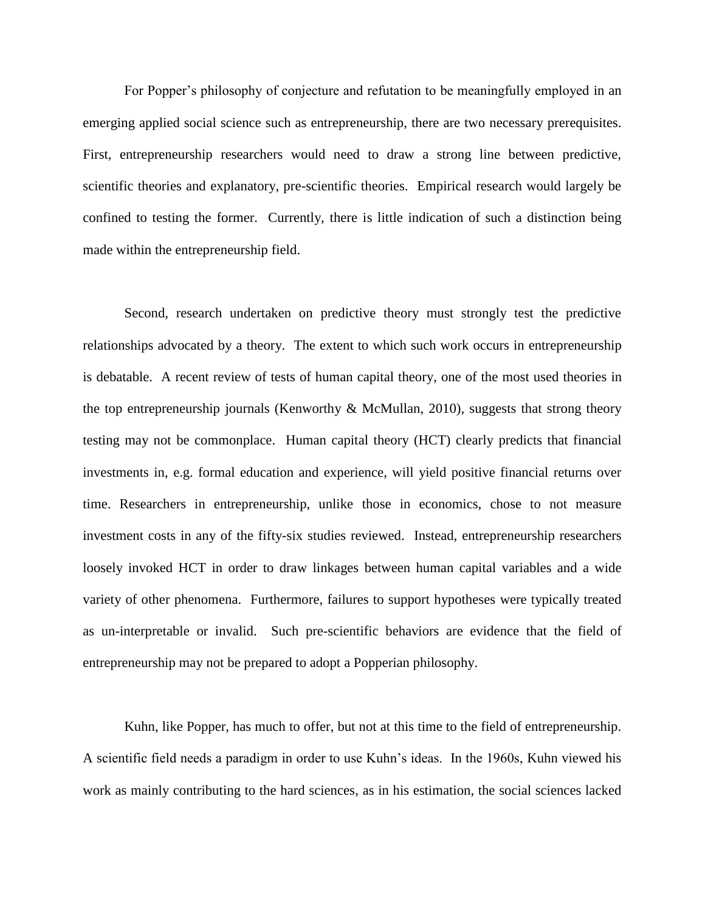For Popper's philosophy of conjecture and refutation to be meaningfully employed in an emerging applied social science such as entrepreneurship, there are two necessary prerequisites. First, entrepreneurship researchers would need to draw a strong line between predictive, scientific theories and explanatory, pre-scientific theories. Empirical research would largely be confined to testing the former. Currently, there is little indication of such a distinction being made within the entrepreneurship field.

Second, research undertaken on predictive theory must strongly test the predictive relationships advocated by a theory. The extent to which such work occurs in entrepreneurship is debatable. A recent review of tests of human capital theory, one of the most used theories in the top entrepreneurship journals (Kenworthy & McMullan, 2010), suggests that strong theory testing may not be commonplace. Human capital theory (HCT) clearly predicts that financial investments in, e.g. formal education and experience, will yield positive financial returns over time. Researchers in entrepreneurship, unlike those in economics, chose to not measure investment costs in any of the fifty-six studies reviewed. Instead, entrepreneurship researchers loosely invoked HCT in order to draw linkages between human capital variables and a wide variety of other phenomena. Furthermore, failures to support hypotheses were typically treated as un-interpretable or invalid. Such pre-scientific behaviors are evidence that the field of entrepreneurship may not be prepared to adopt a Popperian philosophy.

Kuhn, like Popper, has much to offer, but not at this time to the field of entrepreneurship. A scientific field needs a paradigm in order to use Kuhn's ideas. In the 1960s, Kuhn viewed his work as mainly contributing to the hard sciences, as in his estimation, the social sciences lacked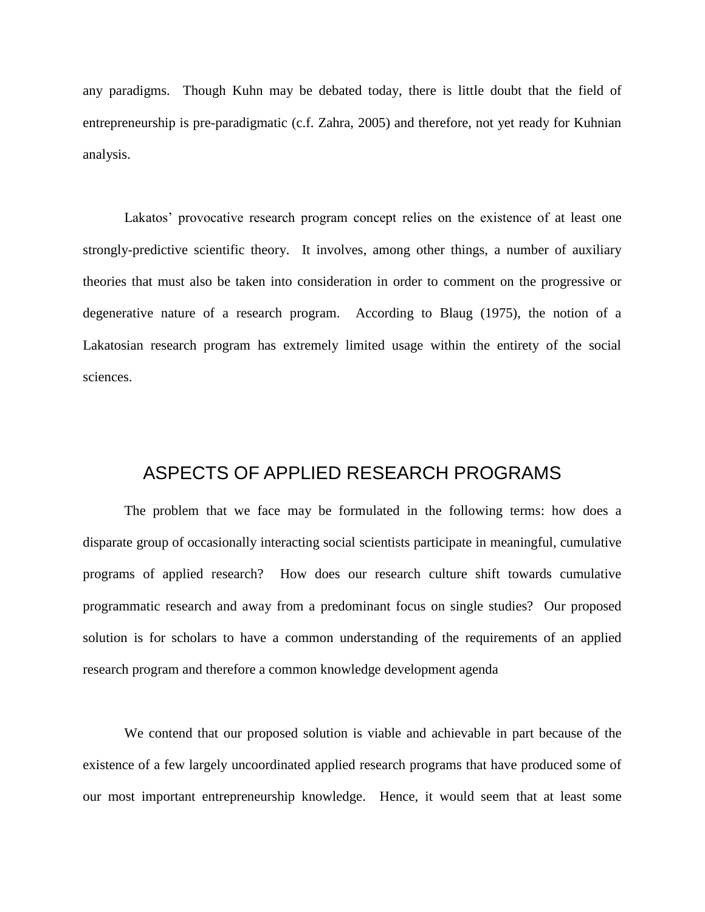any paradigms. Though Kuhn may be debated today, there is little doubt that the field of entrepreneurship is pre-paradigmatic (c.f. Zahra, 2005) and therefore, not yet ready for Kuhnian analysis.

Lakatos' provocative research program concept relies on the existence of at least one strongly-predictive scientific theory. It involves, among other things, a number of auxiliary theories that must also be taken into consideration in order to comment on the progressive or degenerative nature of a research program. According to Blaug (1975), the notion of a Lakatosian research program has extremely limited usage within the entirety of the social sciences.

### ASPECTS OF APPLIED RESEARCH PROGRAMS

The problem that we face may be formulated in the following terms: how does a disparate group of occasionally interacting social scientists participate in meaningful, cumulative programs of applied research? How does our research culture shift towards cumulative programmatic research and away from a predominant focus on single studies? Our proposed solution is for scholars to have a common understanding of the requirements of an applied research program and therefore a common knowledge development agenda

We contend that our proposed solution is viable and achievable in part because of the existence of a few largely uncoordinated applied research programs that have produced some of our most important entrepreneurship knowledge. Hence, it would seem that at least some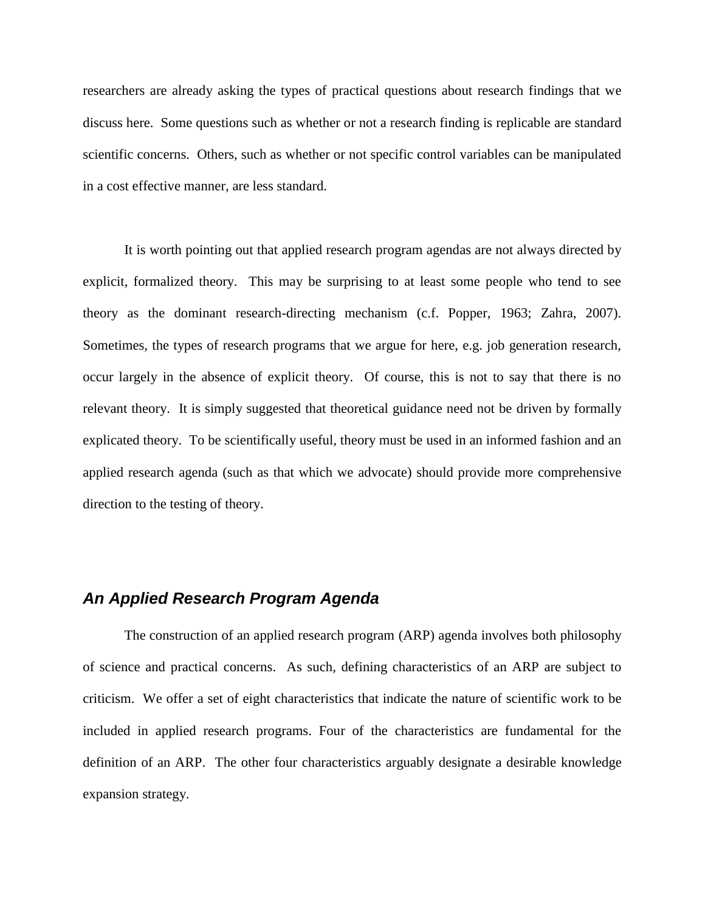researchers are already asking the types of practical questions about research findings that we discuss here. Some questions such as whether or not a research finding is replicable are standard scientific concerns. Others, such as whether or not specific control variables can be manipulated in a cost effective manner, are less standard.

It is worth pointing out that applied research program agendas are not always directed by explicit, formalized theory. This may be surprising to at least some people who tend to see theory as the dominant research-directing mechanism (c.f. Popper, 1963; Zahra, 2007). Sometimes, the types of research programs that we argue for here, e.g. job generation research, occur largely in the absence of explicit theory. Of course, this is not to say that there is no relevant theory. It is simply suggested that theoretical guidance need not be driven by formally explicated theory. To be scientifically useful, theory must be used in an informed fashion and an applied research agenda (such as that which we advocate) should provide more comprehensive direction to the testing of theory.

### *An Applied Research Program Agenda*

The construction of an applied research program (ARP) agenda involves both philosophy of science and practical concerns. As such, defining characteristics of an ARP are subject to criticism. We offer a set of eight characteristics that indicate the nature of scientific work to be included in applied research programs. Four of the characteristics are fundamental for the definition of an ARP. The other four characteristics arguably designate a desirable knowledge expansion strategy.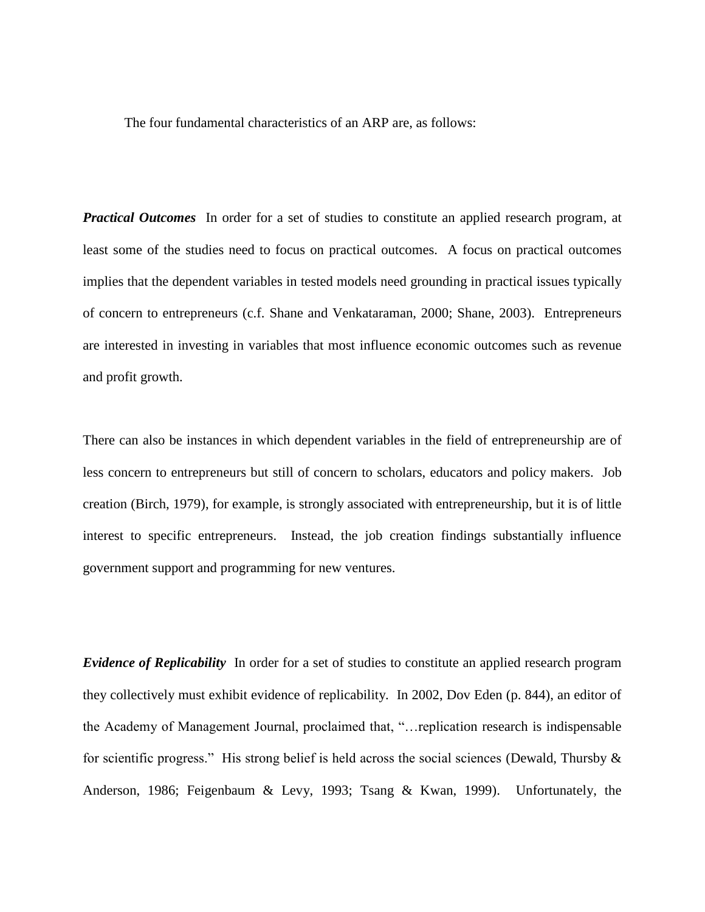The four fundamental characteristics of an ARP are, as follows:

*Practical Outcomes* In order for a set of studies to constitute an applied research program, at least some of the studies need to focus on practical outcomes. A focus on practical outcomes implies that the dependent variables in tested models need grounding in practical issues typically of concern to entrepreneurs (c.f. Shane and Venkataraman, 2000; Shane, 2003). Entrepreneurs are interested in investing in variables that most influence economic outcomes such as revenue and profit growth.

There can also be instances in which dependent variables in the field of entrepreneurship are of less concern to entrepreneurs but still of concern to scholars, educators and policy makers. Job creation (Birch, 1979), for example, is strongly associated with entrepreneurship, but it is of little interest to specific entrepreneurs. Instead, the job creation findings substantially influence government support and programming for new ventures.

*Evidence of Replicability* In order for a set of studies to constitute an applied research program they collectively must exhibit evidence of replicability. In 2002, Dov Eden (p. 844), an editor of the Academy of Management Journal, proclaimed that, "…replication research is indispensable for scientific progress." His strong belief is held across the social sciences (Dewald, Thursby  $\&$ Anderson, 1986; Feigenbaum & Levy, 1993; Tsang & Kwan, 1999). Unfortunately, the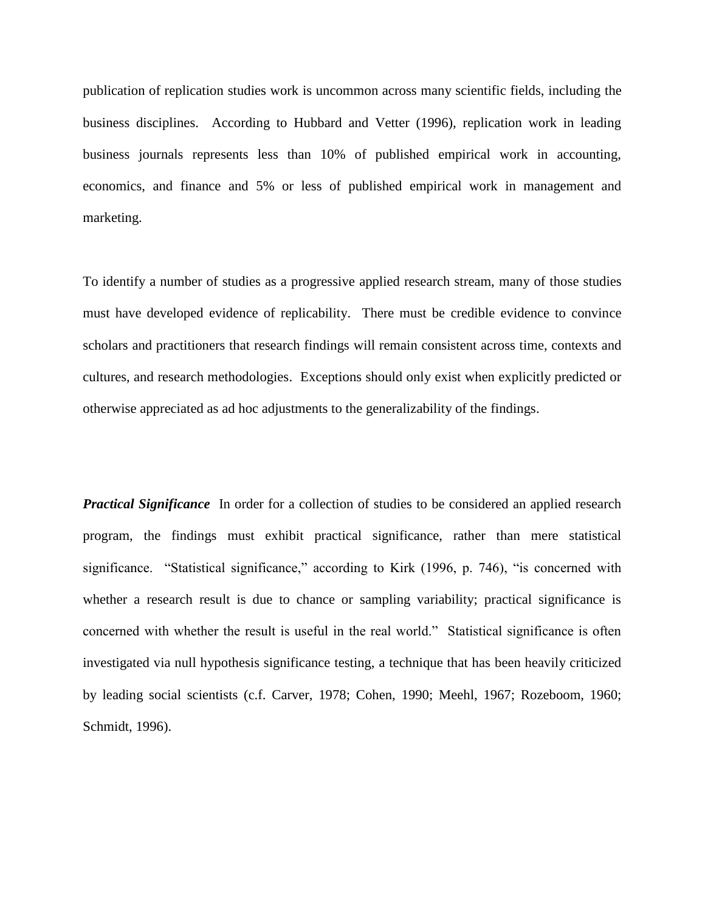publication of replication studies work is uncommon across many scientific fields, including the business disciplines. According to Hubbard and Vetter (1996), replication work in leading business journals represents less than 10% of published empirical work in accounting, economics, and finance and 5% or less of published empirical work in management and marketing.

To identify a number of studies as a progressive applied research stream, many of those studies must have developed evidence of replicability. There must be credible evidence to convince scholars and practitioners that research findings will remain consistent across time, contexts and cultures, and research methodologies. Exceptions should only exist when explicitly predicted or otherwise appreciated as ad hoc adjustments to the generalizability of the findings.

*Practical Significance* In order for a collection of studies to be considered an applied research program, the findings must exhibit practical significance, rather than mere statistical significance. "Statistical significance," according to Kirk (1996, p. 746), "is concerned with whether a research result is due to chance or sampling variability; practical significance is concerned with whether the result is useful in the real world." Statistical significance is often investigated via null hypothesis significance testing, a technique that has been heavily criticized by leading social scientists (c.f. Carver, 1978; Cohen, 1990; Meehl, 1967; Rozeboom, 1960; Schmidt, 1996).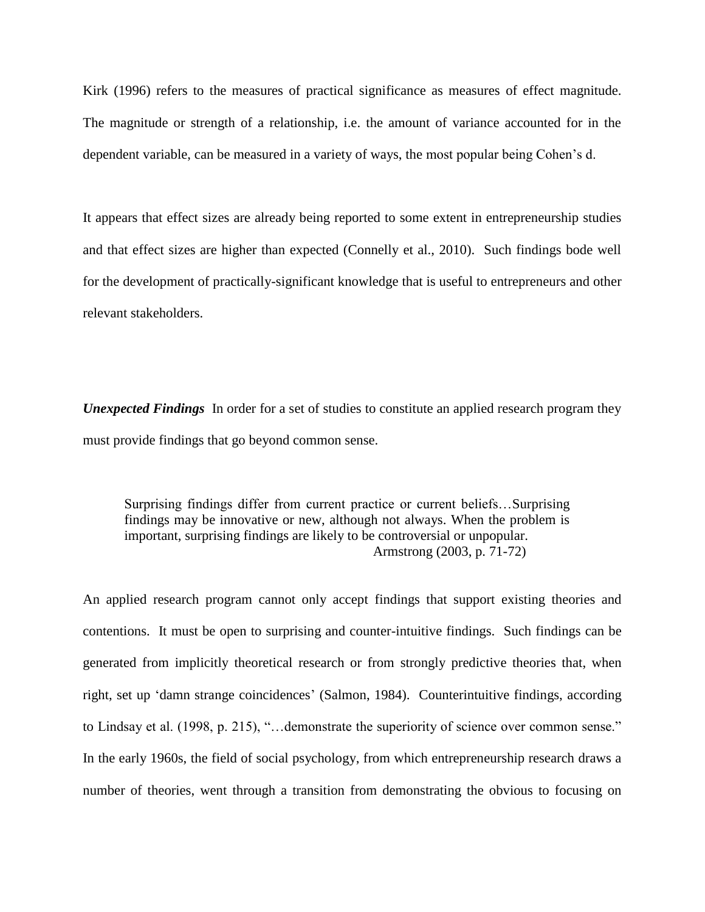Kirk (1996) refers to the measures of practical significance as measures of effect magnitude. The magnitude or strength of a relationship, i.e. the amount of variance accounted for in the dependent variable, can be measured in a variety of ways, the most popular being Cohen's d.

It appears that effect sizes are already being reported to some extent in entrepreneurship studies and that effect sizes are higher than expected (Connelly et al., 2010). Such findings bode well for the development of practically-significant knowledge that is useful to entrepreneurs and other relevant stakeholders.

*Unexpected Findings* In order for a set of studies to constitute an applied research program they must provide findings that go beyond common sense.

Surprising findings differ from current practice or current beliefs…Surprising findings may be innovative or new, although not always. When the problem is important, surprising findings are likely to be controversial or unpopular. Armstrong (2003, p. 71-72)

An applied research program cannot only accept findings that support existing theories and contentions. It must be open to surprising and counter-intuitive findings. Such findings can be generated from implicitly theoretical research or from strongly predictive theories that, when right, set up 'damn strange coincidences' (Salmon, 1984). Counterintuitive findings, according to Lindsay et al. (1998, p. 215), "…demonstrate the superiority of science over common sense." In the early 1960s, the field of social psychology, from which entrepreneurship research draws a number of theories, went through a transition from demonstrating the obvious to focusing on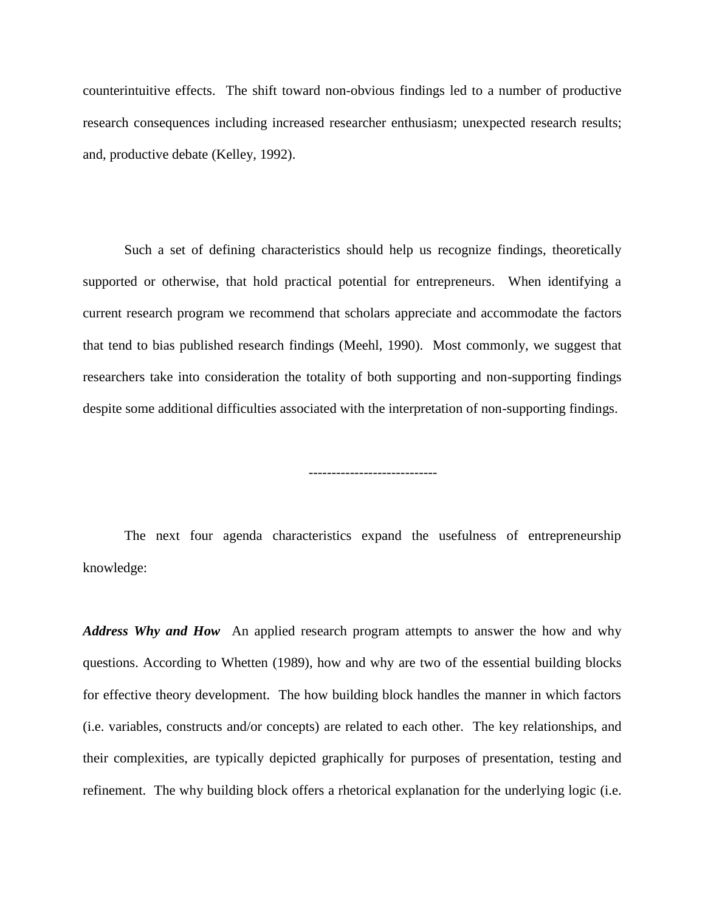counterintuitive effects. The shift toward non-obvious findings led to a number of productive research consequences including increased researcher enthusiasm; unexpected research results; and, productive debate (Kelley, 1992).

Such a set of defining characteristics should help us recognize findings, theoretically supported or otherwise, that hold practical potential for entrepreneurs. When identifying a current research program we recommend that scholars appreciate and accommodate the factors that tend to bias published research findings (Meehl, 1990). Most commonly, we suggest that researchers take into consideration the totality of both supporting and non-supporting findings despite some additional difficulties associated with the interpretation of non-supporting findings.

----------------------------

The next four agenda characteristics expand the usefulness of entrepreneurship knowledge:

*Address Why and How* An applied research program attempts to answer the how and why questions. According to Whetten (1989), how and why are two of the essential building blocks for effective theory development. The how building block handles the manner in which factors (i.e. variables, constructs and/or concepts) are related to each other. The key relationships, and their complexities, are typically depicted graphically for purposes of presentation, testing and refinement. The why building block offers a rhetorical explanation for the underlying logic (i.e.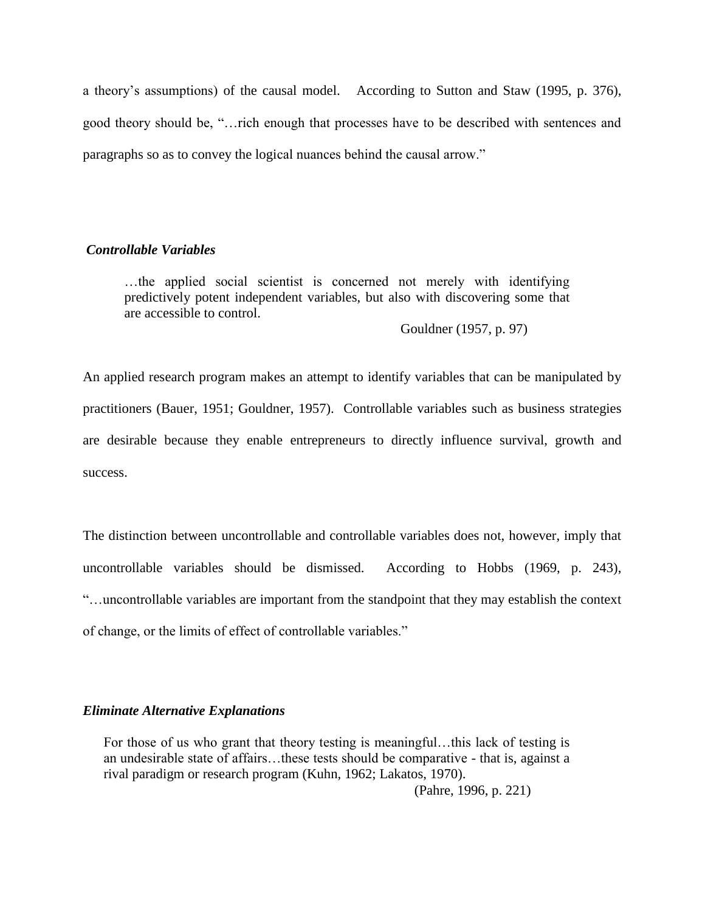a theory's assumptions) of the causal model. According to Sutton and Staw (1995, p. 376), good theory should be, "…rich enough that processes have to be described with sentences and paragraphs so as to convey the logical nuances behind the causal arrow."

#### *Controllable Variables*

…the applied social scientist is concerned not merely with identifying predictively potent independent variables, but also with discovering some that are accessible to control.

Gouldner (1957, p. 97)

An applied research program makes an attempt to identify variables that can be manipulated by practitioners (Bauer, 1951; Gouldner, 1957). Controllable variables such as business strategies are desirable because they enable entrepreneurs to directly influence survival, growth and success.

The distinction between uncontrollable and controllable variables does not, however, imply that uncontrollable variables should be dismissed. According to Hobbs (1969, p. 243), "…uncontrollable variables are important from the standpoint that they may establish the context of change, or the limits of effect of controllable variables."

#### *Eliminate Alternative Explanations*

For those of us who grant that theory testing is meaningful...this lack of testing is an undesirable state of affairs…these tests should be comparative - that is, against a rival paradigm or research program (Kuhn, 1962; Lakatos, 1970).

(Pahre, 1996, p. 221)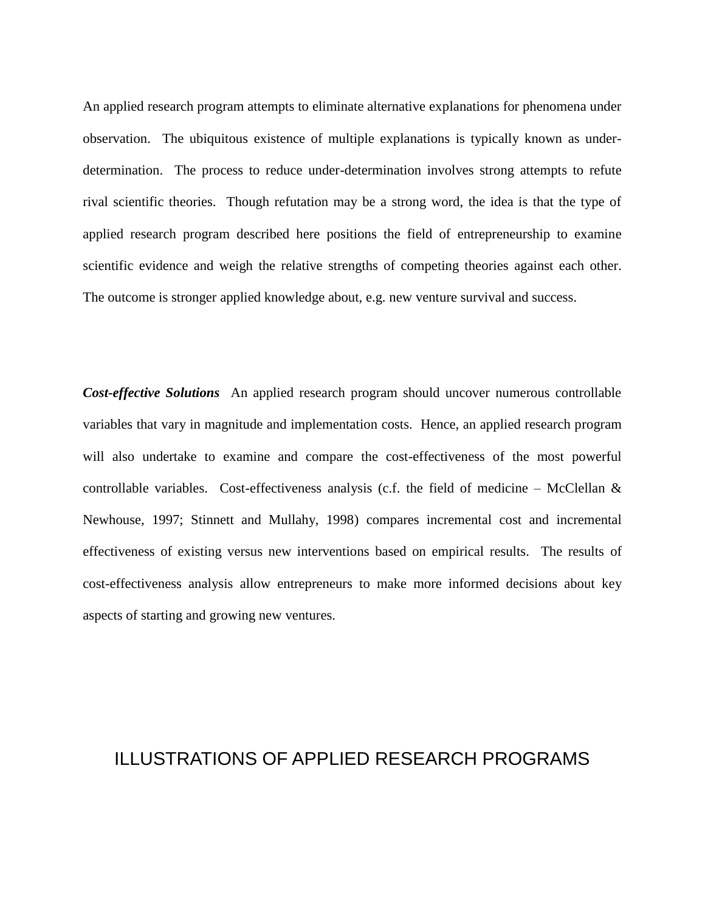An applied research program attempts to eliminate alternative explanations for phenomena under observation. The ubiquitous existence of multiple explanations is typically known as underdetermination. The process to reduce under-determination involves strong attempts to refute rival scientific theories. Though refutation may be a strong word, the idea is that the type of applied research program described here positions the field of entrepreneurship to examine scientific evidence and weigh the relative strengths of competing theories against each other. The outcome is stronger applied knowledge about, e.g. new venture survival and success.

*Cost-effective Solutions* An applied research program should uncover numerous controllable variables that vary in magnitude and implementation costs. Hence, an applied research program will also undertake to examine and compare the cost-effectiveness of the most powerful controllable variables. Cost-effectiveness analysis (c.f. the field of medicine – McClellan  $\&$ Newhouse, 1997; Stinnett and Mullahy, 1998) compares incremental cost and incremental effectiveness of existing versus new interventions based on empirical results. The results of cost-effectiveness analysis allow entrepreneurs to make more informed decisions about key aspects of starting and growing new ventures.

# ILLUSTRATIONS OF APPLIED RESEARCH PROGRAMS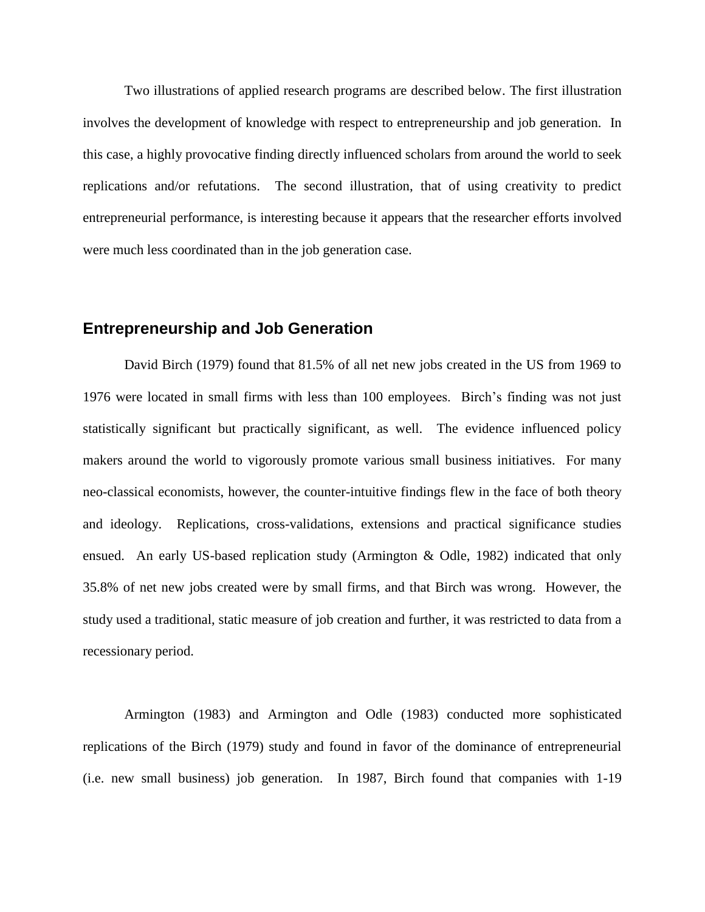Two illustrations of applied research programs are described below. The first illustration involves the development of knowledge with respect to entrepreneurship and job generation. In this case, a highly provocative finding directly influenced scholars from around the world to seek replications and/or refutations. The second illustration, that of using creativity to predict entrepreneurial performance, is interesting because it appears that the researcher efforts involved were much less coordinated than in the job generation case.

### **Entrepreneurship and Job Generation**

David Birch (1979) found that 81.5% of all net new jobs created in the US from 1969 to 1976 were located in small firms with less than 100 employees. Birch's finding was not just statistically significant but practically significant, as well. The evidence influenced policy makers around the world to vigorously promote various small business initiatives. For many neo-classical economists, however, the counter-intuitive findings flew in the face of both theory and ideology. Replications, cross-validations, extensions and practical significance studies ensued. An early US-based replication study (Armington & Odle, 1982) indicated that only 35.8% of net new jobs created were by small firms, and that Birch was wrong. However, the study used a traditional, static measure of job creation and further, it was restricted to data from a recessionary period.

Armington (1983) and Armington and Odle (1983) conducted more sophisticated replications of the Birch (1979) study and found in favor of the dominance of entrepreneurial (i.e. new small business) job generation. In 1987, Birch found that companies with 1-19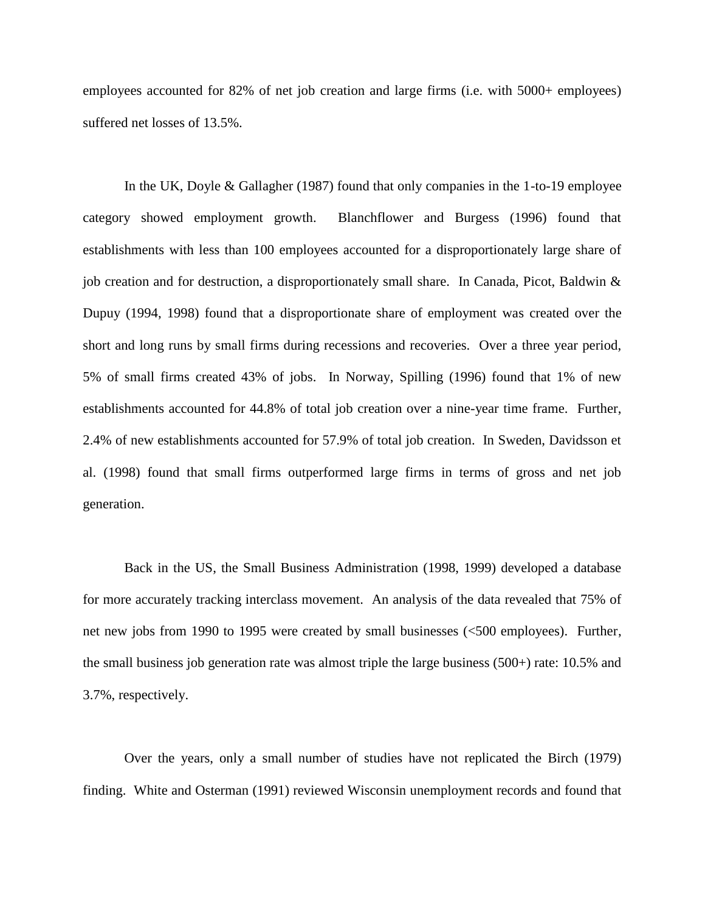employees accounted for 82% of net job creation and large firms (i.e. with 5000+ employees) suffered net losses of 13.5%.

In the UK, Doyle & Gallagher (1987) found that only companies in the 1-to-19 employee category showed employment growth. Blanchflower and Burgess (1996) found that establishments with less than 100 employees accounted for a disproportionately large share of job creation and for destruction, a disproportionately small share. In Canada, Picot, Baldwin & Dupuy (1994, 1998) found that a disproportionate share of employment was created over the short and long runs by small firms during recessions and recoveries. Over a three year period, 5% of small firms created 43% of jobs. In Norway, Spilling (1996) found that 1% of new establishments accounted for 44.8% of total job creation over a nine-year time frame. Further, 2.4% of new establishments accounted for 57.9% of total job creation. In Sweden, Davidsson et al. (1998) found that small firms outperformed large firms in terms of gross and net job generation.

Back in the US, the Small Business Administration (1998, 1999) developed a database for more accurately tracking interclass movement. An analysis of the data revealed that 75% of net new jobs from 1990 to 1995 were created by small businesses (<500 employees). Further, the small business job generation rate was almost triple the large business (500+) rate: 10.5% and 3.7%, respectively.

Over the years, only a small number of studies have not replicated the Birch (1979) finding. White and Osterman (1991) reviewed Wisconsin unemployment records and found that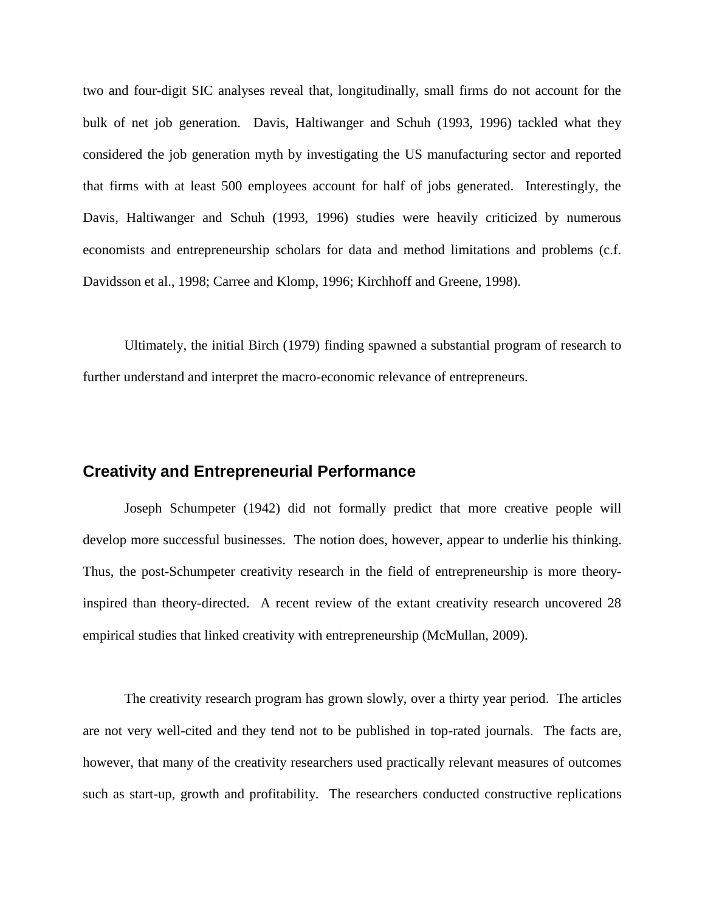two and four-digit SIC analyses reveal that, longitudinally, small firms do not account for the bulk of net job generation. Davis, Haltiwanger and Schuh (1993, 1996) tackled what they considered the job generation myth by investigating the US manufacturing sector and reported that firms with at least 500 employees account for half of jobs generated. Interestingly, the Davis, Haltiwanger and Schuh (1993, 1996) studies were heavily criticized by numerous economists and entrepreneurship scholars for data and method limitations and problems (c.f. Davidsson et al., 1998; Carree and Klomp, 1996; Kirchhoff and Greene, 1998).

Ultimately, the initial Birch (1979) finding spawned a substantial program of research to further understand and interpret the macro-economic relevance of entrepreneurs.

### **Creativity and Entrepreneurial Performance**

Joseph Schumpeter (1942) did not formally predict that more creative people will develop more successful businesses. The notion does, however, appear to underlie his thinking. Thus, the post-Schumpeter creativity research in the field of entrepreneurship is more theoryinspired than theory-directed. A recent review of the extant creativity research uncovered 28 empirical studies that linked creativity with entrepreneurship (McMullan, 2009).

The creativity research program has grown slowly, over a thirty year period. The articles are not very well-cited and they tend not to be published in top-rated journals. The facts are, however, that many of the creativity researchers used practically relevant measures of outcomes such as start-up, growth and profitability. The researchers conducted constructive replications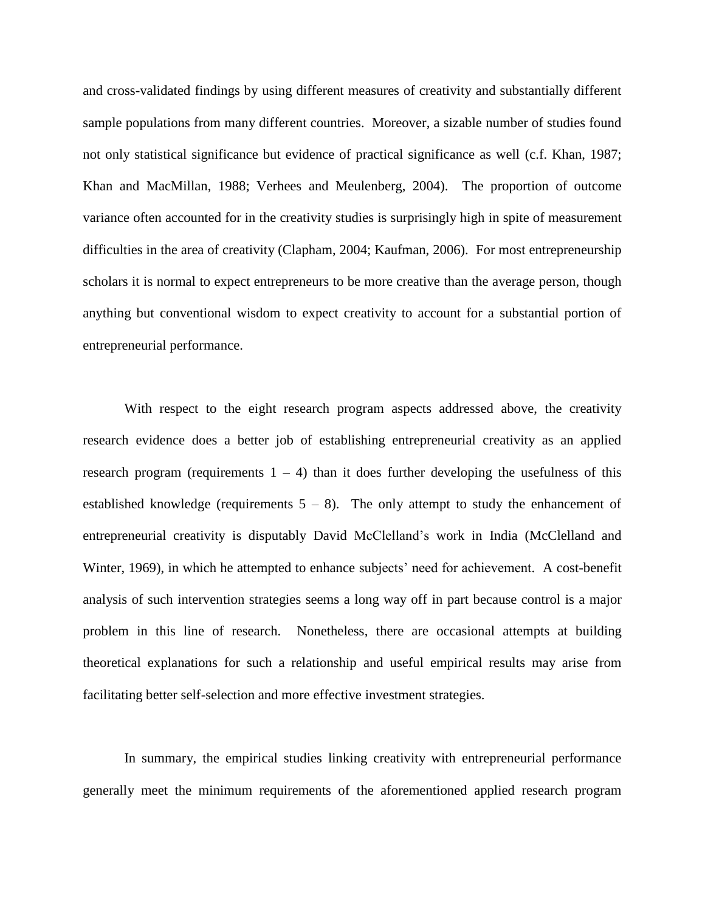and cross-validated findings by using different measures of creativity and substantially different sample populations from many different countries. Moreover, a sizable number of studies found not only statistical significance but evidence of practical significance as well (c.f. Khan, 1987; Khan and MacMillan, 1988; Verhees and Meulenberg, 2004). The proportion of outcome variance often accounted for in the creativity studies is surprisingly high in spite of measurement difficulties in the area of creativity (Clapham, 2004; Kaufman, 2006). For most entrepreneurship scholars it is normal to expect entrepreneurs to be more creative than the average person, though anything but conventional wisdom to expect creativity to account for a substantial portion of entrepreneurial performance.

With respect to the eight research program aspects addressed above, the creativity research evidence does a better job of establishing entrepreneurial creativity as an applied research program (requirements  $1 - 4$ ) than it does further developing the usefulness of this established knowledge (requirements  $5 - 8$ ). The only attempt to study the enhancement of entrepreneurial creativity is disputably David McClelland's work in India (McClelland and Winter, 1969), in which he attempted to enhance subjects' need for achievement. A cost-benefit analysis of such intervention strategies seems a long way off in part because control is a major problem in this line of research. Nonetheless, there are occasional attempts at building theoretical explanations for such a relationship and useful empirical results may arise from facilitating better self-selection and more effective investment strategies.

In summary, the empirical studies linking creativity with entrepreneurial performance generally meet the minimum requirements of the aforementioned applied research program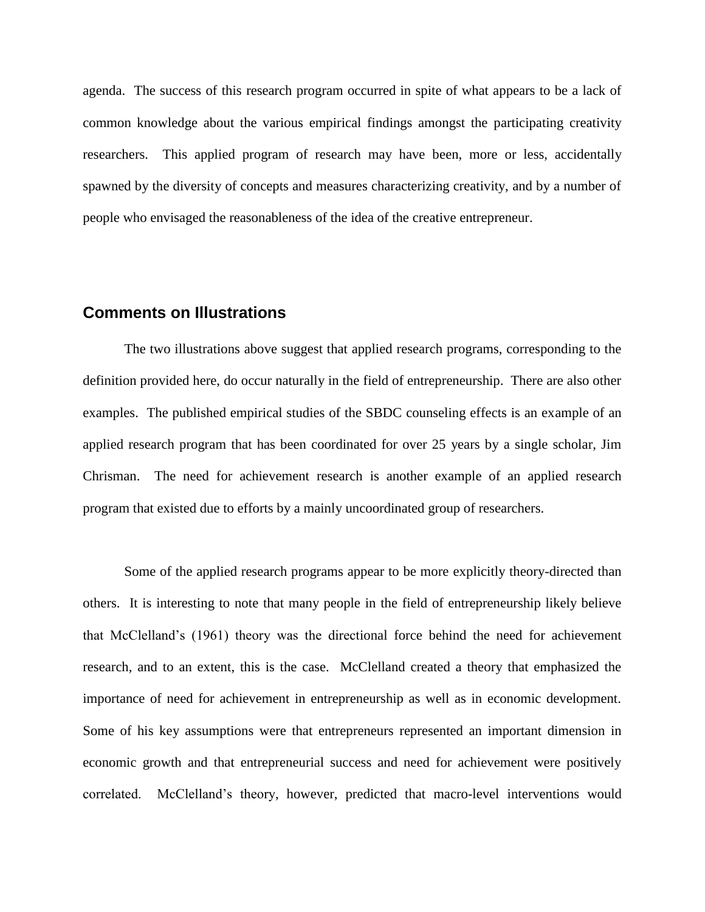agenda. The success of this research program occurred in spite of what appears to be a lack of common knowledge about the various empirical findings amongst the participating creativity researchers. This applied program of research may have been, more or less, accidentally spawned by the diversity of concepts and measures characterizing creativity, and by a number of people who envisaged the reasonableness of the idea of the creative entrepreneur.

### **Comments on Illustrations**

The two illustrations above suggest that applied research programs, corresponding to the definition provided here, do occur naturally in the field of entrepreneurship. There are also other examples. The published empirical studies of the SBDC counseling effects is an example of an applied research program that has been coordinated for over 25 years by a single scholar, Jim Chrisman. The need for achievement research is another example of an applied research program that existed due to efforts by a mainly uncoordinated group of researchers.

Some of the applied research programs appear to be more explicitly theory-directed than others. It is interesting to note that many people in the field of entrepreneurship likely believe that McClelland's (1961) theory was the directional force behind the need for achievement research, and to an extent, this is the case. McClelland created a theory that emphasized the importance of need for achievement in entrepreneurship as well as in economic development. Some of his key assumptions were that entrepreneurs represented an important dimension in economic growth and that entrepreneurial success and need for achievement were positively correlated. McClelland's theory, however, predicted that macro-level interventions would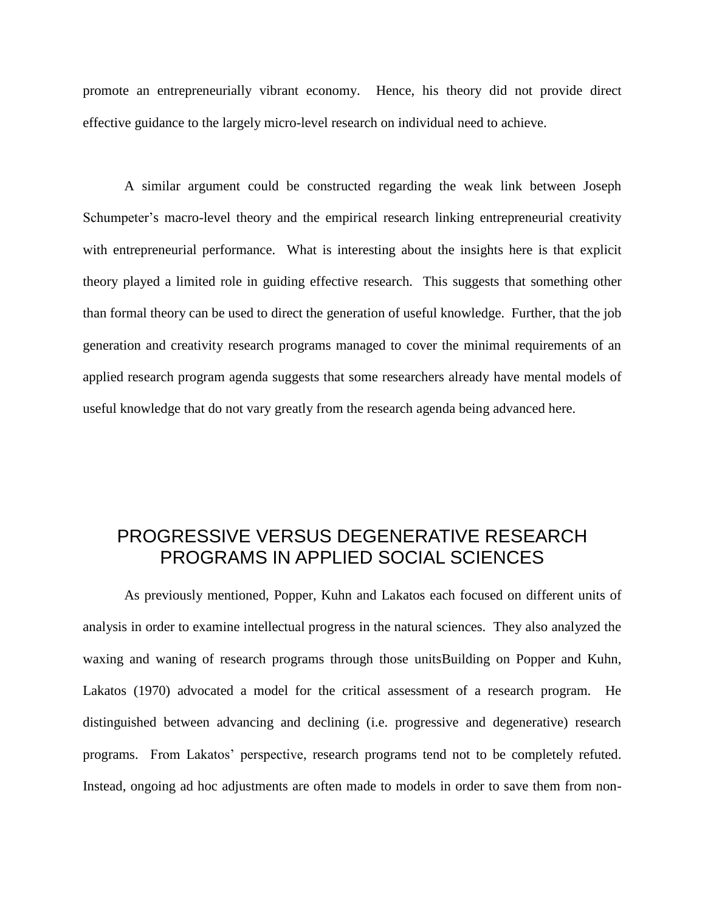promote an entrepreneurially vibrant economy. Hence, his theory did not provide direct effective guidance to the largely micro-level research on individual need to achieve.

A similar argument could be constructed regarding the weak link between Joseph Schumpeter's macro-level theory and the empirical research linking entrepreneurial creativity with entrepreneurial performance. What is interesting about the insights here is that explicit theory played a limited role in guiding effective research. This suggests that something other than formal theory can be used to direct the generation of useful knowledge. Further, that the job generation and creativity research programs managed to cover the minimal requirements of an applied research program agenda suggests that some researchers already have mental models of useful knowledge that do not vary greatly from the research agenda being advanced here.

# PROGRESSIVE VERSUS DEGENERATIVE RESEARCH PROGRAMS IN APPLIED SOCIAL SCIENCES

As previously mentioned, Popper, Kuhn and Lakatos each focused on different units of analysis in order to examine intellectual progress in the natural sciences. They also analyzed the waxing and waning of research programs through those unitsBuilding on Popper and Kuhn, Lakatos (1970) advocated a model for the critical assessment of a research program. He distinguished between advancing and declining (i.e. progressive and degenerative) research programs. From Lakatos' perspective, research programs tend not to be completely refuted. Instead, ongoing ad hoc adjustments are often made to models in order to save them from non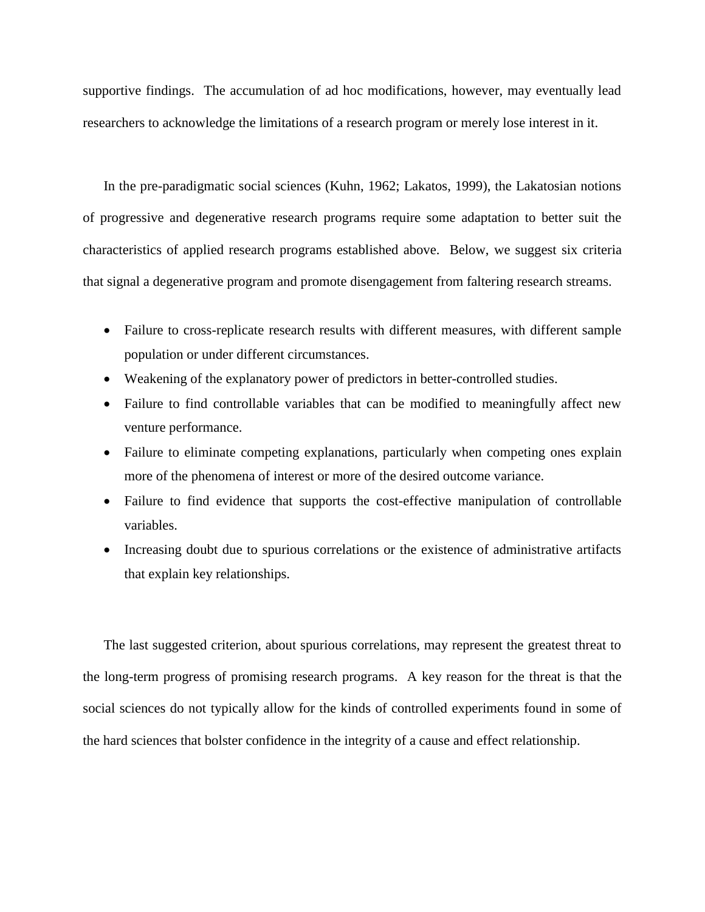supportive findings. The accumulation of ad hoc modifications, however, may eventually lead researchers to acknowledge the limitations of a research program or merely lose interest in it.

In the pre-paradigmatic social sciences (Kuhn, 1962; Lakatos, 1999), the Lakatosian notions of progressive and degenerative research programs require some adaptation to better suit the characteristics of applied research programs established above. Below, we suggest six criteria that signal a degenerative program and promote disengagement from faltering research streams.

- Failure to cross-replicate research results with different measures, with different sample population or under different circumstances.
- Weakening of the explanatory power of predictors in better-controlled studies.
- Failure to find controllable variables that can be modified to meaningfully affect new venture performance.
- Failure to eliminate competing explanations, particularly when competing ones explain more of the phenomena of interest or more of the desired outcome variance.
- Failure to find evidence that supports the cost-effective manipulation of controllable variables.
- Increasing doubt due to spurious correlations or the existence of administrative artifacts that explain key relationships.

The last suggested criterion, about spurious correlations, may represent the greatest threat to the long-term progress of promising research programs. A key reason for the threat is that the social sciences do not typically allow for the kinds of controlled experiments found in some of the hard sciences that bolster confidence in the integrity of a cause and effect relationship.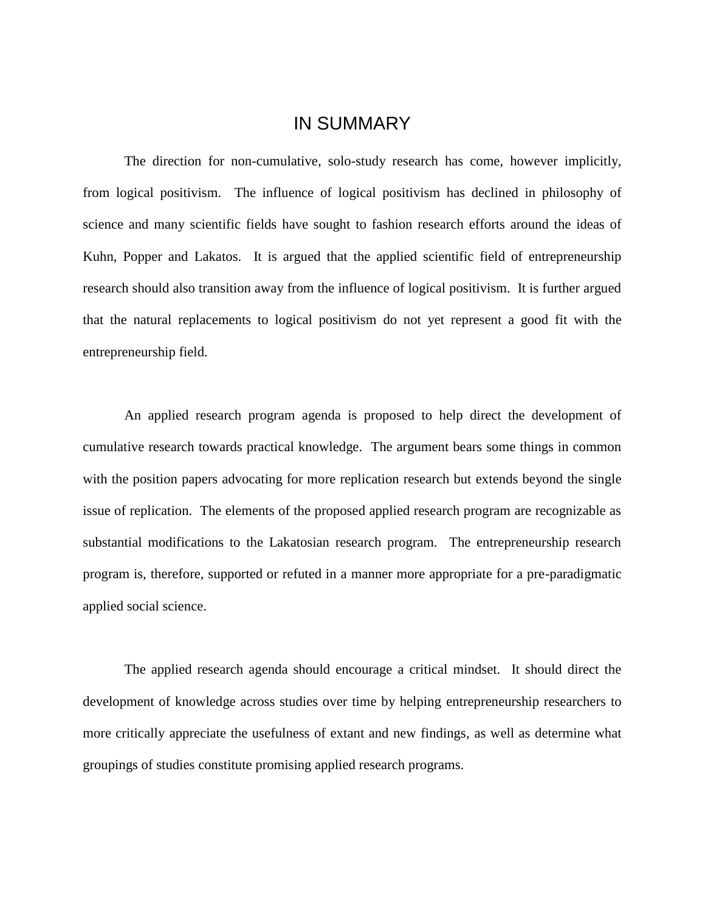### IN SUMMARY

The direction for non-cumulative, solo-study research has come, however implicitly, from logical positivism. The influence of logical positivism has declined in philosophy of science and many scientific fields have sought to fashion research efforts around the ideas of Kuhn, Popper and Lakatos. It is argued that the applied scientific field of entrepreneurship research should also transition away from the influence of logical positivism. It is further argued that the natural replacements to logical positivism do not yet represent a good fit with the entrepreneurship field.

An applied research program agenda is proposed to help direct the development of cumulative research towards practical knowledge. The argument bears some things in common with the position papers advocating for more replication research but extends beyond the single issue of replication. The elements of the proposed applied research program are recognizable as substantial modifications to the Lakatosian research program. The entrepreneurship research program is, therefore, supported or refuted in a manner more appropriate for a pre-paradigmatic applied social science.

The applied research agenda should encourage a critical mindset. It should direct the development of knowledge across studies over time by helping entrepreneurship researchers to more critically appreciate the usefulness of extant and new findings, as well as determine what groupings of studies constitute promising applied research programs.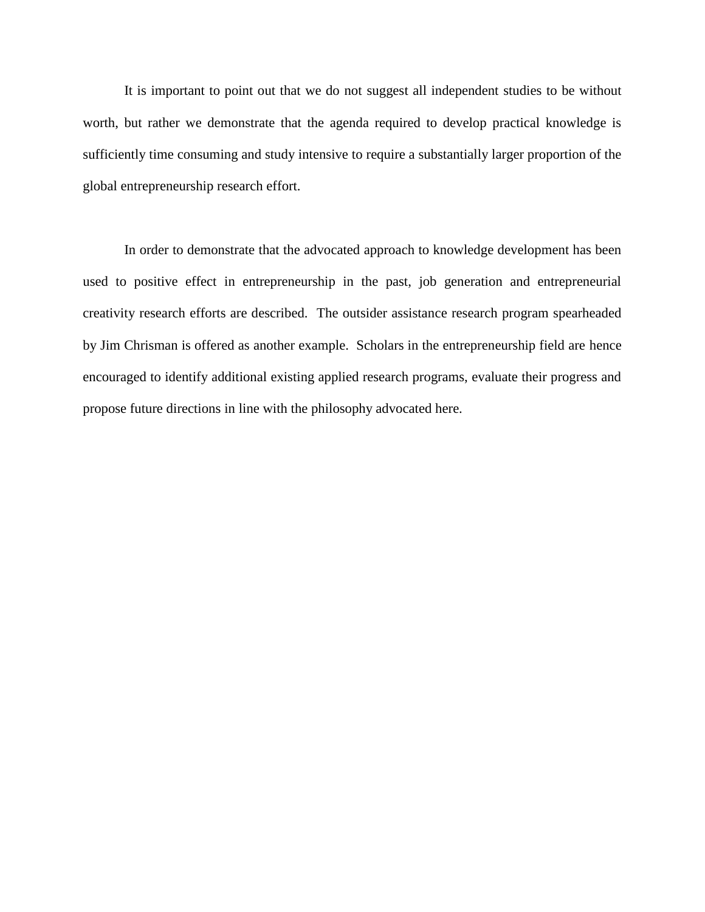It is important to point out that we do not suggest all independent studies to be without worth, but rather we demonstrate that the agenda required to develop practical knowledge is sufficiently time consuming and study intensive to require a substantially larger proportion of the global entrepreneurship research effort.

In order to demonstrate that the advocated approach to knowledge development has been used to positive effect in entrepreneurship in the past, job generation and entrepreneurial creativity research efforts are described. The outsider assistance research program spearheaded by Jim Chrisman is offered as another example. Scholars in the entrepreneurship field are hence encouraged to identify additional existing applied research programs, evaluate their progress and propose future directions in line with the philosophy advocated here.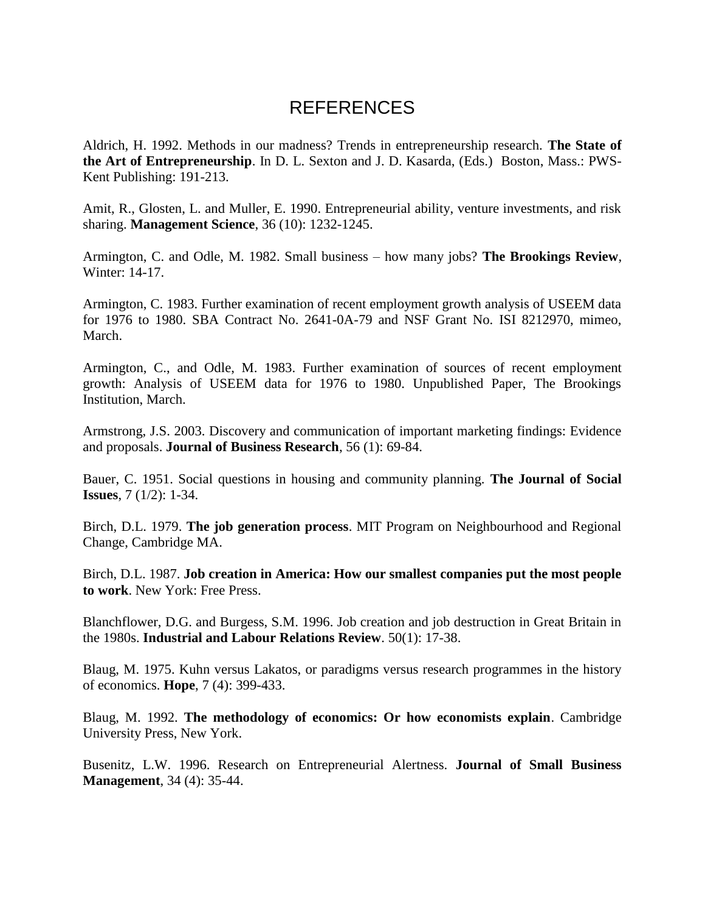# REFERENCES

Aldrich, H. 1992. Methods in our madness? Trends in entrepreneurship research. **The State of the Art of Entrepreneurship**. In D. L. Sexton and J. D. Kasarda, (Eds.) Boston, Mass.: PWS-Kent Publishing: 191-213.

Amit, R., Glosten, L. and Muller, E. 1990. Entrepreneurial ability, venture investments, and risk sharing. **Management Science**, 36 (10): 1232-1245.

Armington, C. and Odle, M. 1982. Small business – how many jobs? **The Brookings Review**, Winter: 14-17.

Armington, C. 1983. Further examination of recent employment growth analysis of USEEM data for 1976 to 1980. SBA Contract No. 2641-0A-79 and NSF Grant No. ISI 8212970, mimeo, March.

Armington, C., and Odle, M. 1983. Further examination of sources of recent employment growth: Analysis of USEEM data for 1976 to 1980. Unpublished Paper, The Brookings Institution, March.

Armstrong, J.S. 2003. Discovery and communication of important marketing findings: Evidence and proposals. **Journal of Business Research**, 56 (1): 69-84.

Bauer, C. 1951. Social questions in housing and community planning. **The Journal of Social Issues**, 7 (1/2): 1-34.

Birch, D.L. 1979. **The job generation process**. MIT Program on Neighbourhood and Regional Change, Cambridge MA.

Birch, D.L. 1987. **Job creation in America: How our smallest companies put the most people to work**. New York: Free Press.

Blanchflower, D.G. and Burgess, S.M. 1996. Job creation and job destruction in Great Britain in the 1980s. **Industrial and Labour Relations Review**. 50(1): 17-38.

Blaug, M. 1975. Kuhn versus Lakatos, or paradigms versus research programmes in the history of economics. **Hope**, 7 (4): 399-433.

Blaug, M. 1992. **The methodology of economics: Or how economists explain**. Cambridge University Press, New York.

Busenitz, L.W. 1996. Research on Entrepreneurial Alertness. **Journal of Small Business Management**, 34 (4): 35-44.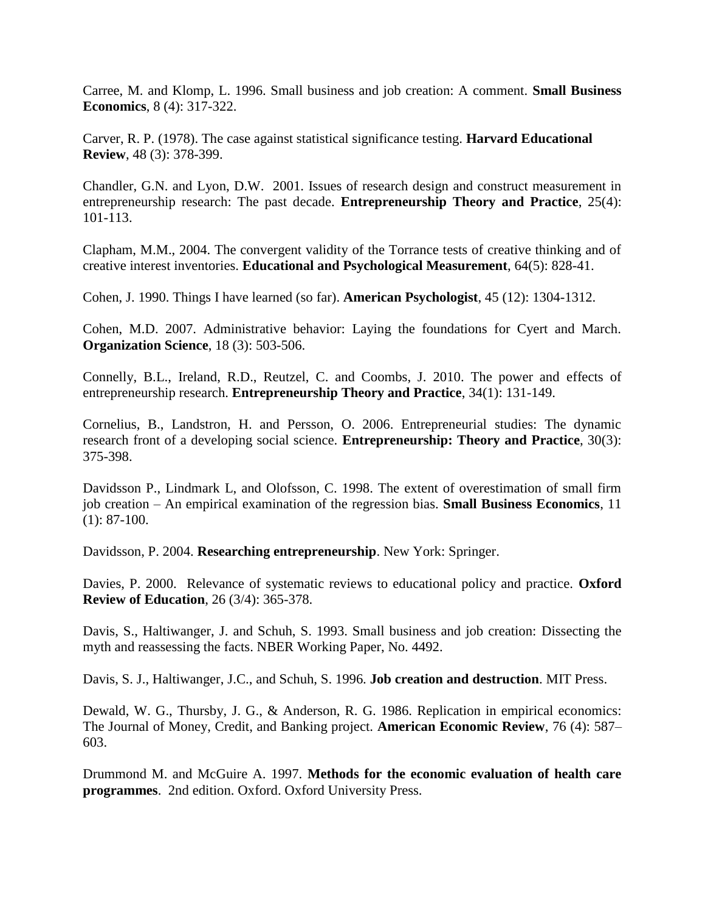Carree, M. and Klomp, L. 1996. Small business and job creation: A comment. **Small Business Economics**, 8 (4): 317-322.

Carver, R. P. (1978). The case against statistical significance testing. **Harvard Educational Review**, 48 (3): 378-399.

Chandler, G.N. and Lyon, D.W. 2001. Issues of research design and construct measurement in entrepreneurship research: The past decade. **Entrepreneurship Theory and Practice**, 25(4): 101-113.

Clapham, M.M., 2004. The convergent validity of the Torrance tests of creative thinking and of creative interest inventories. **Educational and Psychological Measurement**, 64(5): 828-41.

Cohen, J. 1990. Things I have learned (so far). **American Psychologist**, 45 (12): 1304-1312.

Cohen, M.D. 2007. Administrative behavior: Laying the foundations for Cyert and March. **Organization Science**, 18 (3): 503-506.

Connelly, B.L., Ireland, R.D., Reutzel, C. and Coombs, J. 2010. The power and effects of entrepreneurship research. **Entrepreneurship Theory and Practice**, 34(1): 131-149.

Cornelius, B., Landstron, H. and Persson, O. 2006. Entrepreneurial studies: The dynamic research front of a developing social science. **Entrepreneurship: Theory and Practice**, 30(3): 375-398.

Davidsson P., Lindmark L, and Olofsson, C. 1998. The extent of overestimation of small firm job creation – An empirical examination of the regression bias. **Small Business Economics**, 11  $(1): 87-100.$ 

Davidsson, P. 2004. **Researching entrepreneurship**. New York: Springer.

Davies, P. 2000. Relevance of systematic reviews to educational policy and practice. **Oxford Review of Education**, 26 (3/4): 365-378.

Davis, S., Haltiwanger, J. and Schuh, S. 1993. Small business and job creation: Dissecting the myth and reassessing the facts. NBER Working Paper, No. 4492.

Davis, S. J., Haltiwanger, J.C., and Schuh, S. 1996. **Job creation and destruction**. MIT Press.

Dewald, W. G., Thursby, J. G., & Anderson, R. G. 1986. Replication in empirical economics: The Journal of Money, Credit, and Banking project. **American Economic Review**, 76 (4): 587– 603.

Drummond M. and McGuire A. 1997. **Methods for the economic evaluation of health care programmes**. 2nd edition. Oxford. Oxford University Press.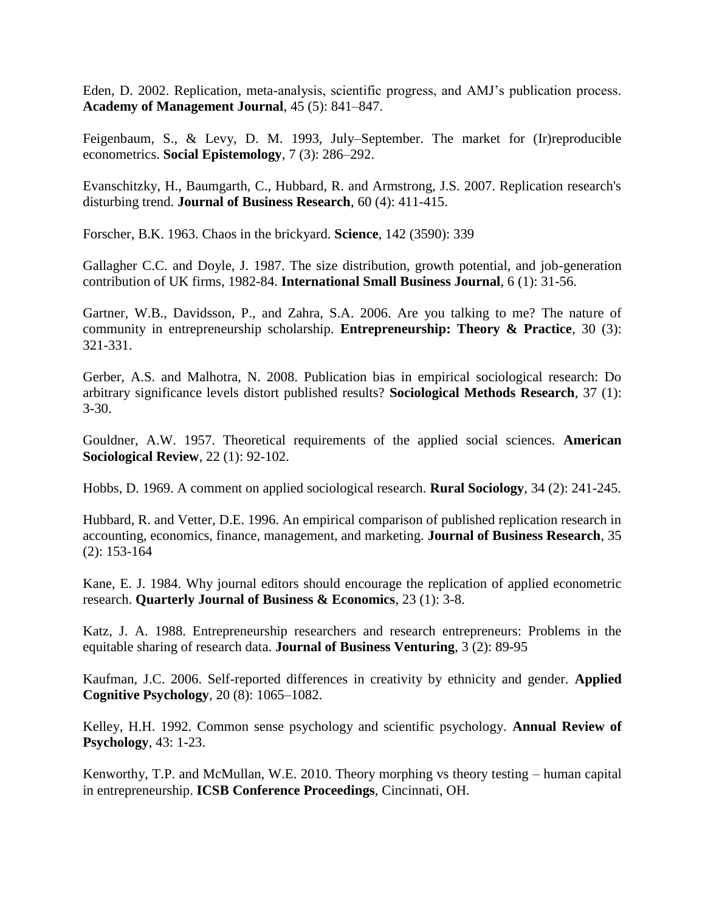Eden, D. 2002. Replication, meta-analysis, scientific progress, and AMJ's publication process. **Academy of Management Journal**, 45 (5): 841–847.

Feigenbaum, S., & Levy, D. M. 1993, July–September. The market for (Ir)reproducible econometrics. **Social Epistemology**, 7 (3): 286–292.

Evanschitzky, H., Baumgarth, C., Hubbard, R. and Armstrong, J.S. 2007. Replication research's disturbing trend. **Journal of Business Research**, 60 (4): 411-415.

Forscher, B.K. 1963. Chaos in the brickyard. **Science**, 142 (3590): 339

Gallagher C.C. and Doyle, J. 1987. The size distribution, growth potential, and job-generation contribution of UK firms, 1982-84. **International Small Business Journal**, 6 (1): 31-56.

Gartner, W.B., Davidsson, P., and Zahra, S.A. 2006. Are you talking to me? The nature of community in entrepreneurship scholarship. **Entrepreneurship: Theory & Practice**, 30 (3): 321-331.

Gerber, A.S. and Malhotra, N. 2008. Publication bias in empirical sociological research: Do arbitrary significance levels distort published results? **Sociological Methods Research**, 37 (1): 3-30.

Gouldner, A.W. 1957. Theoretical requirements of the applied social sciences. **American Sociological Review**, 22 (1): 92-102.

Hobbs, D. 1969. A comment on applied sociological research. **Rural Sociology**, 34 (2): 241-245.

Hubbard, R. and Vetter, D.E. 1996. An empirical comparison of published replication research in accounting, economics, finance, management, and marketing. **Journal of Business Research**, 35 (2): 153-164

Kane, E. J. 1984. Why journal editors should encourage the replication of applied econometric research. **Quarterly Journal of Business & Economics**, 23 (1): 3-8.

Katz, J. A. 1988. Entrepreneurship researchers and research entrepreneurs: Problems in the equitable sharing of research data. **Journal of Business Venturing**, 3 (2): 89-95

Kaufman, J.C. 2006. Self-reported differences in creativity by ethnicity and gender. **Applied Cognitive Psychology**, 20 (8): 1065–1082.

Kelley, H.H. 1992. Common sense psychology and scientific psychology. **Annual Review of Psychology**, 43: 1-23.

Kenworthy, T.P. and McMullan, W.E. 2010. Theory morphing vs theory testing – human capital in entrepreneurship. **ICSB Conference Proceedings**, Cincinnati, OH.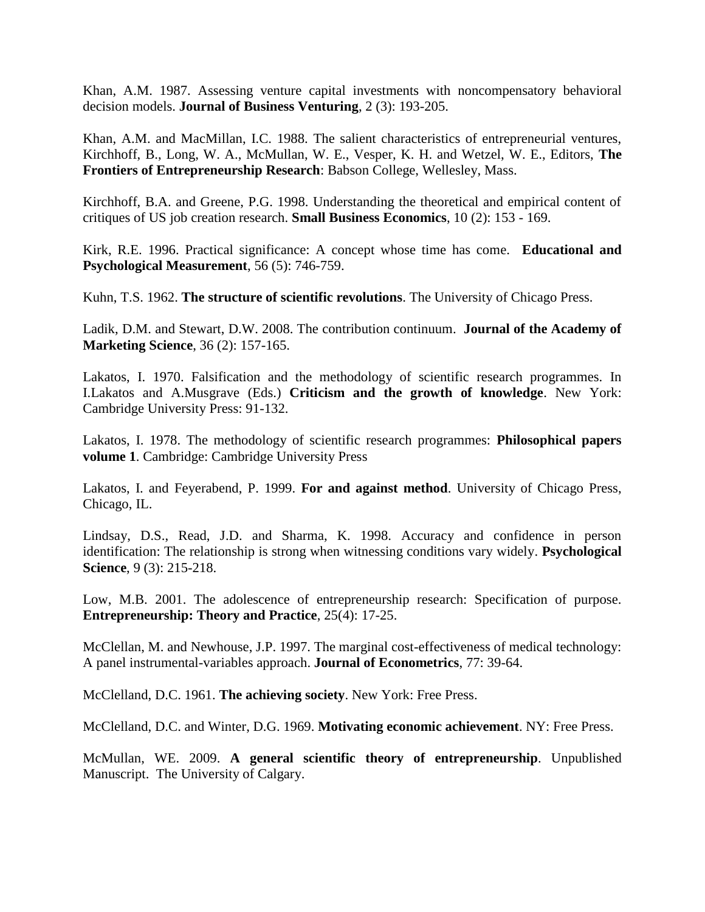Khan, A.M. 1987. Assessing venture capital investments with noncompensatory behavioral decision models. **Journal of Business Venturing**, 2 (3): 193-205.

Khan, A.M. and MacMillan, I.C. 1988. The salient characteristics of entrepreneurial ventures, Kirchhoff, B., Long, W. A., McMullan, W. E., Vesper, K. H. and Wetzel, W. E., Editors, **The Frontiers of Entrepreneurship Research**: Babson College, Wellesley, Mass.

Kirchhoff, B.A. and Greene, P.G. 1998. Understanding the theoretical and empirical content of critiques of US job creation research. **Small Business Economics**, 10 (2): 153 - 169.

Kirk, R.E. 1996. Practical significance: A concept whose time has come. **Educational and Psychological Measurement**, 56 (5): 746-759.

Kuhn, T.S. 1962. **The structure of scientific revolutions**. The University of Chicago Press.

Ladik, D.M. and Stewart, D.W. 2008. The contribution continuum. **Journal of the Academy of Marketing Science**, 36 (2): 157-165.

Lakatos, I. 1970. Falsification and the methodology of scientific research programmes. In I.Lakatos and A.Musgrave (Eds.) **Criticism and the growth of knowledge**. New York: Cambridge University Press: 91-132.

Lakatos, I. 1978. The methodology of scientific research programmes: **Philosophical papers volume 1**. Cambridge: Cambridge University Press

Lakatos, I. and Feyerabend, P. 1999. **For and against method**. University of Chicago Press, Chicago, IL.

Lindsay, D.S., Read, J.D. and Sharma, K. 1998. Accuracy and confidence in person identification: The relationship is strong when witnessing conditions vary widely. **Psychological Science**, 9 (3): 215-218.

Low, M.B. 2001. The adolescence of entrepreneurship research: Specification of purpose. **Entrepreneurship: Theory and Practice**, 25(4): 17-25.

McClellan, M. and Newhouse, J.P. 1997. The marginal cost-effectiveness of medical technology: A panel instrumental-variables approach. **Journal of Econometrics**, 77: 39-64.

McClelland, D.C. 1961. **The achieving society**. New York: Free Press.

McClelland, D.C. and Winter, D.G. 1969. **Motivating economic achievement**. NY: Free Press.

McMullan, WE. 2009. **A general scientific theory of entrepreneurship**. Unpublished Manuscript. The University of Calgary.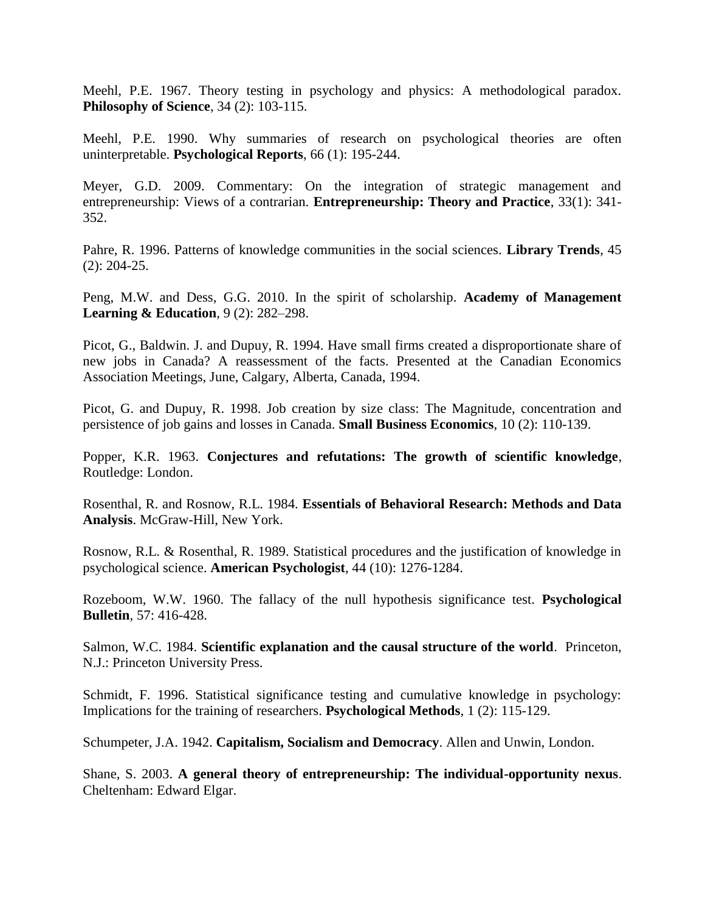Meehl, P.E. 1967. Theory testing in psychology and physics: A methodological paradox. **Philosophy of Science**, 34 (2): 103-115.

Meehl, P.E. 1990. Why summaries of research on psychological theories are often uninterpretable. **Psychological Reports**, 66 (1): 195-244.

Meyer, G.D. 2009. Commentary: On the integration of strategic management and entrepreneurship: Views of a contrarian. **Entrepreneurship: Theory and Practice**, 33(1): 341- 352.

Pahre, R. 1996. Patterns of knowledge communities in the social sciences. **Library Trends**, 45 (2): 204-25.

Peng, M.W. and Dess, G.G. 2010. In the spirit of scholarship. **Academy of Management Learning & Education**, 9 (2): 282–298.

Picot, G., Baldwin. J. and Dupuy, R. 1994. Have small firms created a disproportionate share of new jobs in Canada? A reassessment of the facts. Presented at the Canadian Economics Association Meetings, June, Calgary, Alberta, Canada, 1994.

Picot, G. and Dupuy, R. 1998. Job creation by size class: The Magnitude, concentration and persistence of job gains and losses in Canada. **Small Business Economics**, 10 (2): 110-139.

Popper, K.R. 1963. **Conjectures and refutations: The growth of scientific knowledge**, Routledge: London.

Rosenthal, R. and Rosnow, R.L. 1984. **Essentials of Behavioral Research: Methods and Data Analysis**. McGraw-Hill, New York.

Rosnow, R.L. & Rosenthal, R. 1989. Statistical procedures and the justification of knowledge in psychological science. **American Psychologist**, 44 (10): 1276-1284.

Rozeboom, W.W. 1960. The fallacy of the null hypothesis significance test. **Psychological Bulletin**, 57: 416-428.

Salmon, W.C. 1984. **Scientific explanation and the causal structure of the world**. Princeton, N.J.: Princeton University Press.

Schmidt, F. 1996. Statistical significance testing and cumulative knowledge in psychology: Implications for the training of researchers. **Psychological Methods**, 1 (2): 115-129.

Schumpeter, J.A. 1942. **Capitalism, Socialism and Democracy**. Allen and Unwin, London.

Shane, S. 2003. **A general theory of entrepreneurship: The individual-opportunity nexus**. Cheltenham: Edward Elgar.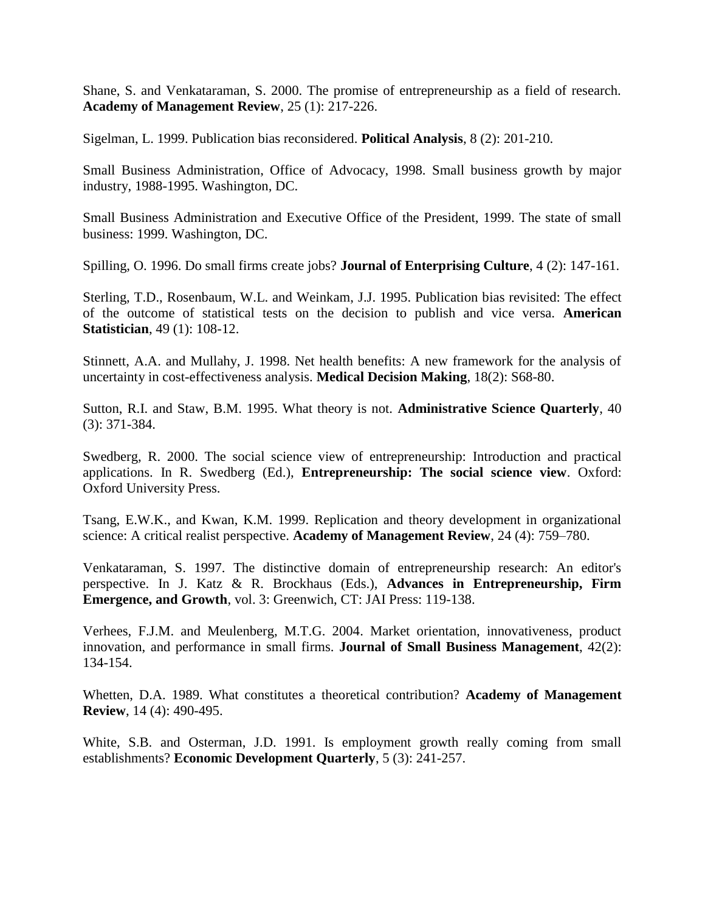Shane, S. and Venkataraman, S. 2000. The promise of entrepreneurship as a field of research. **Academy of Management Review**, 25 (1): 217-226.

Sigelman, L. 1999. Publication bias reconsidered. **Political Analysis**, 8 (2): 201-210.

Small Business Administration, Office of Advocacy, 1998. Small business growth by major industry, 1988-1995. Washington, DC.

Small Business Administration and Executive Office of the President, 1999. The state of small business: 1999. Washington, DC.

Spilling, O. 1996. Do small firms create jobs? **Journal of Enterprising Culture**, 4 (2): 147-161.

Sterling, T.D., Rosenbaum, W.L. and Weinkam, J.J. 1995. Publication bias revisited: The effect of the outcome of statistical tests on the decision to publish and vice versa. **American Statistician**, 49 (1): 108-12.

Stinnett, A.A. and Mullahy, J. 1998. Net health benefits: A new framework for the analysis of uncertainty in cost-effectiveness analysis. **Medical Decision Making**, 18(2): S68-80.

Sutton, R.I. and Staw, B.M. 1995. What theory is not. **Administrative Science Quarterly**, 40 (3): 371-384.

Swedberg, R. 2000. The social science view of entrepreneurship: Introduction and practical applications. In R. Swedberg (Ed.), **Entrepreneurship: The social science view**. Oxford: Oxford University Press.

Tsang, E.W.K., and Kwan, K.M. 1999. Replication and theory development in organizational science: A critical realist perspective. **Academy of Management Review**, 24 (4): 759–780.

Venkataraman, S. 1997. The distinctive domain of entrepreneurship research: An editor's perspective. In J. Katz & R. Brockhaus (Eds.), **Advances in Entrepreneurship, Firm Emergence, and Growth**, vol. 3: Greenwich, CT: JAI Press: 119-138.

Verhees, F.J.M. and Meulenberg, M.T.G. 2004. Market orientation, innovativeness, product innovation, and performance in small firms. **Journal of Small Business Management**, 42(2): 134-154.

Whetten, D.A. 1989. What constitutes a theoretical contribution? **Academy of Management Review**, 14 (4): 490-495.

White, S.B. and Osterman, J.D. 1991. Is employment growth really coming from small establishments? **Economic Development Quarterly**, 5 (3): 241-257.